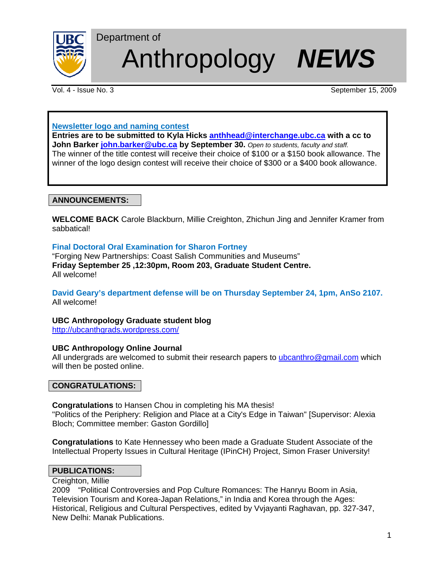

# Anthropology *NEWS*

Vol. 4 - Issue No. 3 September 15, 2009

# **Newsletter logo and naming contest**

Department of

**Entries are to be submitted to Kyla Hicks anthhead@interchange.ubc.ca with a cc to John Barker john.barker@ubc.ca by September 30.** Open to students, faculty and staff. The winner of the title contest will receive their choice of \$100 or a \$150 book allowance. The winner of the logo design contest will receive their choice of \$300 or a \$400 book allowance.

# **ANNOUNCEMENTS:**

**WELCOME BACK** Carole Blackburn, Millie Creighton, Zhichun Jing and Jennifer Kramer from sabbatical!

# **Final Doctoral Oral Examination for Sharon Fortney**

"Forging New Partnerships: Coast Salish Communities and Museums" **Friday September 25 ,12:30pm, Room 203, Graduate Student Centre.**  All welcome!

# **David Geary's department defense will be on Thursday September 24, 1pm, AnSo 2107.**  All welcome!

# **UBC Anthropology Graduate student blog**

http://ubcanthgrads.wordpress.com/

# **UBC Anthropology Online Journal**

All undergrads are welcomed to submit their research papers to ubcanthro@gmail.com which will then be posted online.

## **CONGRATULATIONS:**

**Congratulations** to Hansen Chou in completing his MA thesis! "Politics of the Periphery: Religion and Place at a City's Edge in Taiwan" [Supervisor: Alexia Bloch; Committee member: Gaston Gordillo]

**Congratulations** to Kate Hennessey who been made a Graduate Student Associate of the Intellectual Property Issues in Cultural Heritage (IPinCH) Project, Simon Fraser University!

## **PUBLICATIONS:**

Creighton, Millie

2009 "Political Controversies and Pop Culture Romances: The Hanryu Boom in Asia, Television Tourism and Korea-Japan Relations," in India and Korea through the Ages: Historical, Religious and Cultural Perspectives, edited by Vvjayanti Raghavan, pp. 327-347, New Delhi: Manak Publications.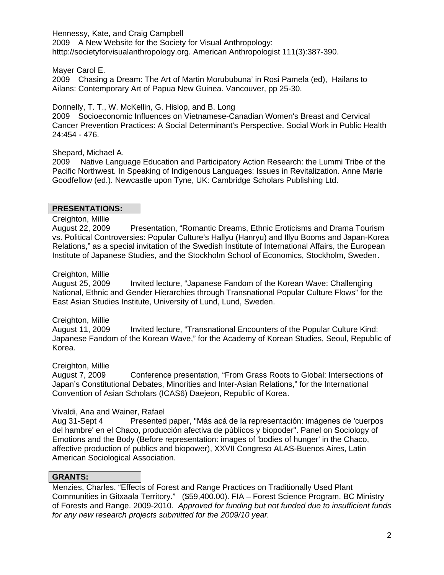Hennessy, Kate, and Craig Campbell 2009 A New Website for the Society for Visual Anthropology: htttp://societyforvisualanthropology.org. American Anthropologist 111(3):387-390.

Mayer Carol E.

2009 Chasing a Dream: The Art of Martin Morububuna' in Rosi Pamela (ed), Hailans to Ailans: Contemporary Art of Papua New Guinea. Vancouver, pp 25-30.

Donnelly, T. T., W. McKellin, G. Hislop, and B. Long

2009 Socioeconomic Influences on Vietnamese-Canadian Women's Breast and Cervical Cancer Prevention Practices: A Social Determinant's Perspective. Social Work in Public Health 24:454 - 476.

Shepard, Michael A.

2009 Native Language Education and Participatory Action Research: the Lummi Tribe of the Pacific Northwest. In Speaking of Indigenous Languages: Issues in Revitalization. Anne Marie Goodfellow (ed.). Newcastle upon Tyne, UK: Cambridge Scholars Publishing Ltd.

# **PRESENTATIONS:**

Creighton, Millie

August 22, 2009 Presentation, "Romantic Dreams, Ethnic Eroticisms and Drama Tourism vs. Political Controversies: Popular Culture's Hallyu (Hanryu) and Illyu Booms and Japan-Korea Relations," as a special invitation of the Swedish Institute of International Affairs, the European Institute of Japanese Studies, and the Stockholm School of Economics, Stockholm, Sweden.

# Creighton, Millie

August 25, 2009 Invited lecture, "Japanese Fandom of the Korean Wave: Challenging National, Ethnic and Gender Hierarchies through Transnational Popular Culture Flows" for the East Asian Studies Institute, University of Lund, Lund, Sweden.

# Creighton, Millie

August 11, 2009 Invited lecture, "Transnational Encounters of the Popular Culture Kind: Japanese Fandom of the Korean Wave," for the Academy of Korean Studies, Seoul, Republic of Korea.

# Creighton, Millie

August 7, 2009 Conference presentation, "From Grass Roots to Global: Intersections of Japan's Constitutional Debates, Minorities and Inter-Asian Relations," for the International Convention of Asian Scholars (ICAS6) Daejeon, Republic of Korea.

# Vivaldi, Ana and Wainer, Rafael

Aug 31-Sept 4 Presented paper, "Más acá de la representación: imágenes de 'cuerpos del hambre' en el Chaco, producción afectiva de públicos y biopoder". Panel on Sociology of Emotions and the Body (Before representation: images of 'bodies of hunger' in the Chaco, affective production of publics and biopower), XXVII Congreso ALAS-Buenos Aires, Latin American Sociological Association.

# **GRANTS:**

Menzies, Charles. "Effects of Forest and Range Practices on Traditionally Used Plant Communities in Gitxaala Territory." (\$59,400.00). FIA – Forest Science Program, BC Ministry of Forests and Range. 2009-2010. *Approved for funding but not funded due to insufficient funds for any new research projects submitted for the 2009/10 year.*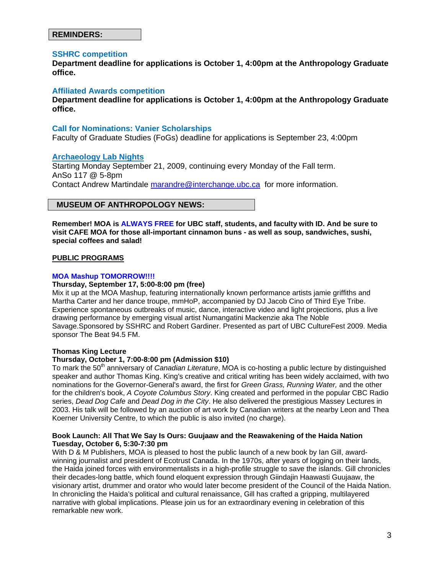## **REMINDERS:**

#### **SSHRC competition**

**Department deadline for applications is October 1, 4:00pm at the Anthropology Graduate office.** 

#### **Affiliated Awards competition**

**Department deadline for applications is October 1, 4:00pm at the Anthropology Graduate office.**

#### **Call for Nominations: Vanier Scholarships**

Faculty of Graduate Studies (FoGs) deadline for applications is September 23, 4:00pm

## **Archaeology Lab Nights**

Starting Monday September 21, 2009, continuing every Monday of the Fall term. AnSo 117 @ 5-8pm Contact Andrew Martindale marandre@interchange.ubc.ca for more information.

## **MUSEUM OF ANTHROPOLOGY NEWS:**

**Remember! MOA is ALWAYS FREE for UBC staff, students, and faculty with ID. And be sure to visit CAFE MOA for those all-important cinnamon buns - as well as soup, sandwiches, sushi, special coffees and salad!**

#### **PUBLIC PROGRAMS**

#### **MOA Mashup TOMORROW!!!!**

#### **Thursday, September 17, 5:00-8:00 pm (free)**

Mix it up at the MOA Mashup, featuring internationally known performance artists jamie griffiths and Martha Carter and her dance troupe, mmHoP, accompanied by DJ Jacob Cino of Third Eye Tribe. Experience spontaneous outbreaks of music, dance, interactive video and light projections, plus a live drawing performance by emerging visual artist Numangatini Mackenzie aka The Noble Savage.Sponsored by SSHRC and Robert Gardiner. Presented as part of UBC CultureFest 2009. Media sponsor The Beat 94.5 FM.

#### **Thomas King Lecture**

#### **Thursday, October 1, 7:00-8:00 pm (Admission \$10)**

To mark the 50<sup>th</sup> anniversary of *Canadian Literature*, MOA is co-hosting a public lecture by distinguished speaker and author Thomas King. King's creative and critical writing has been widely acclaimed, with two nominations for the Governor-General's award, the first for *Green Grass, Running Water,* and the other for the children's book, *A Coyote Columbus Story*. King created and performed in the popular CBC Radio series, *Dead Dog Cafe* and *Dead Dog in the City*. He also delivered the prestigious Massey Lectures in 2003. His talk will be followed by an auction of art work by Canadian writers at the nearby Leon and Thea Koerner University Centre, to which the public is also invited (no charge).

#### **Book Launch: All That We Say Is Ours: Guujaaw and the Reawakening of the Haida Nation Tuesday, October 6, 5:30-7:30 pm**

With D & M Publishers, MOA is pleased to host the public launch of a new book by Ian Gill, awardwinning journalist and president of Ecotrust Canada. In the 1970s, after years of logging on their lands, the Haida joined forces with environmentalists in a high-profile struggle to save the islands. Gill chronicles their decades-long battle, which found eloquent expression through Giindajin Haawasti Guujaaw, the visionary artist, drummer and orator who would later become president of the Council of the Haida Nation. In chronicling the Haida's political and cultural renaissance, Gill has crafted a gripping, multilayered narrative with global implications. Please join us for an extraordinary evening in celebration of this remarkable new work.